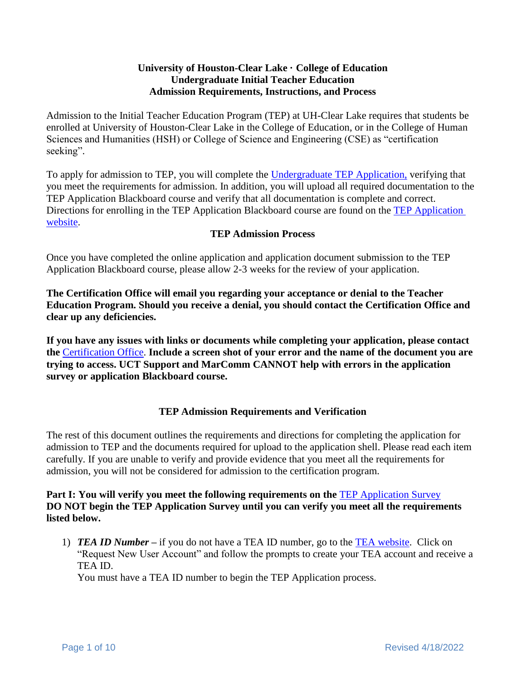## **University of Houston-Clear Lake · College of Education Undergraduate Initial Teacher Education Admission Requirements, Instructions, and Process**

Admission to the Initial Teacher Education Program (TEP) at UH-Clear Lake requires that students be enrolled at University of Houston-Clear Lake in the College of Education, or in the College of Human Sciences and Humanities (HSH) or College of Science and Engineering (CSE) as "certification seeking".

To apply for admission to TEP, you will complete the [Undergraduate TEP Application,](https://uhcl.co1.qualtrics.com/jfe/form/SV_eE8v6VE3sJ8Bra6) verifying that you meet the requirements for admission. In addition, you will upload all required documentation to the TEP Application Blackboard course and verify that all documentation is complete and correct. Directions for enrolling in the TEP Application Blackboard course are found on the [TEP Application](https://www.uhcl.edu/education/certification/certification-requirements/teacher-education-program-application)  [website.](https://www.uhcl.edu/education/certification/certification-requirements/teacher-education-program-application)

## **TEP Admission Process**

Once you have completed the online application and application document submission to the TEP Application Blackboard course, please allow 2-3 weeks for the review of your application.

**The Certification Office will email you regarding your acceptance or denial to the Teacher Education Program. Should you receive a denial, you should contact the Certification Office and clear up any deficiencies.** 

**If you have any issues with links or documents while completing your application, please contact the** [Certification Office.](mailto:certification@uhcl.edu) **Include a screen shot of your error and the name of the document you are trying to access. UCT Support and MarComm CANNOT help with errors in the application survey or application Blackboard course.**

#### **TEP Admission Requirements and Verification**

The rest of this document outlines the requirements and directions for completing the application for admission to TEP and the documents required for upload to the application shell. Please read each item carefully. If you are unable to verify and provide evidence that you meet all the requirements for admission, you will not be considered for admission to the certification program.

## **Part I: You will verify you meet the following requirements on the [TEP Application Survey](https://uhcl.co1.qualtrics.com/jfe/form/SV_eE8v6VE3sJ8Bra6) DO NOT begin the TEP Application Survey until you can verify you meet all the requirements listed below.**

1) *TEA ID Number* **–** if you do not have a TEA ID number, go to the [TEA website.](https://tealprod.tea.state.tx.us/) Click on "Request New User Account" and follow the prompts to create your TEA account and receive a TEA ID.

You must have a TEA ID number to begin the TEP Application process.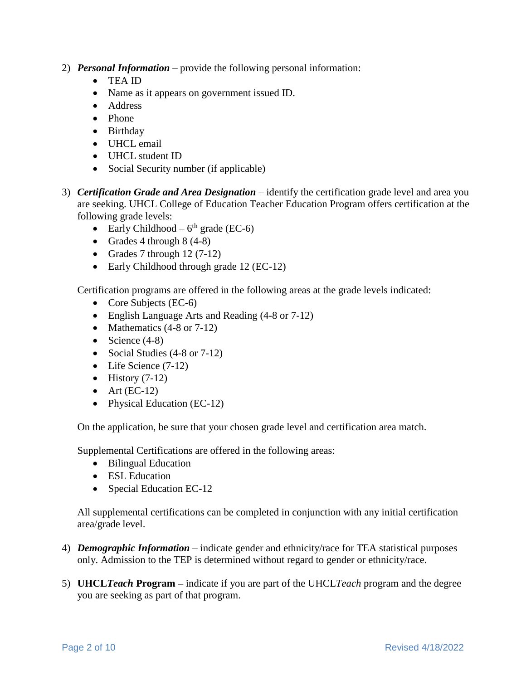- 2) *Personal Information*  provide the following personal information:
	- TEA ID
	- Name as it appears on government issued ID.
	- Address
	- Phone
	- Birthday
	- UHCL email
	- UHCL student ID
	- Social Security number (if applicable)
- 3) *Certification Grade and Area Designation* identify the certification grade level and area you are seeking. UHCL College of Education Teacher Education Program offers certification at the following grade levels:
	- Early Childhood  $6<sup>th</sup>$  grade (EC-6)
	- Grades 4 through  $8(4-8)$
	- Grades 7 through  $12(7-12)$
	- Early Childhood through grade 12 (EC-12)

Certification programs are offered in the following areas at the grade levels indicated:

- Core Subjects (EC-6)
- English Language Arts and Reading (4-8 or 7-12)
- Mathematics  $(4-8 \text{ or } 7-12)$
- Science  $(4-8)$
- Social Studies (4-8 or 7-12)
- Life Science (7-12)
- History  $(7-12)$
- Art  $(EC-12)$
- Physical Education (EC-12)

On the application, be sure that your chosen grade level and certification area match.

Supplemental Certifications are offered in the following areas:

- Bilingual Education
- ESL Education
- Special Education EC-12

All supplemental certifications can be completed in conjunction with any initial certification area/grade level.

- 4) *Demographic Information* indicate gender and ethnicity/race for TEA statistical purposes only. Admission to the TEP is determined without regard to gender or ethnicity/race.
- 5) **UHCL***Teach* **Program –** indicate if you are part of the UHCL*Teach* program and the degree you are seeking as part of that program.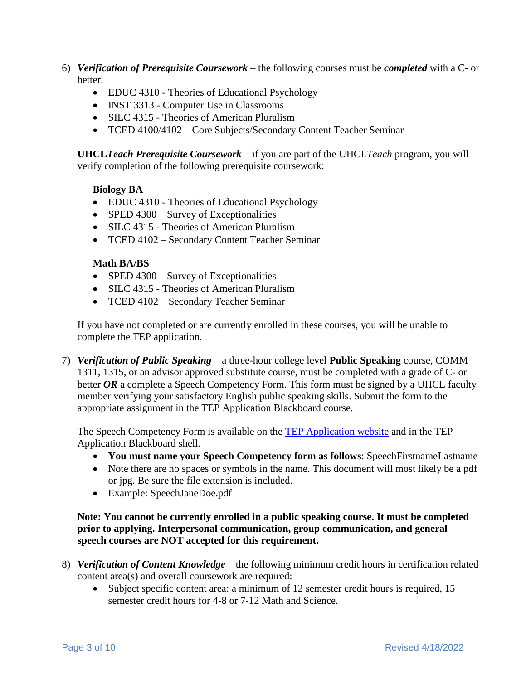- 6) *Verification of Prerequisite Coursework* the following courses must be *completed* with a C- or better.
	- EDUC 4310 Theories of Educational Psychology
	- INST 3313 Computer Use in Classrooms
	- SILC 4315 Theories of American Pluralism
	- TCED 4100/4102 Core Subjects/Secondary Content Teacher Seminar

**UHCL***Teach Prerequisite Coursework –* if you are part of the UHCL*Teach* program, you will verify completion of the following prerequisite coursework:

#### **Biology BA**

- EDUC 4310 Theories of Educational Psychology
- SPED 4300 Survey of Exceptionalities
- SILC 4315 Theories of American Pluralism
- TCED 4102 Secondary Content Teacher Seminar

#### **Math BA/BS**

- SPED 4300 Survey of Exceptionalities
- SILC 4315 Theories of American Pluralism
- TCED 4102 Secondary Teacher Seminar

If you have not completed or are currently enrolled in these courses, you will be unable to complete the TEP application.

7) *Verification of Public Speaking* – a three-hour college level **Public Speaking** course, COMM 1311, 1315, or an advisor approved substitute course, must be completed with a grade of C- or better OR a complete a Speech Competency Form. This form must be signed by a UHCL faculty member verifying your satisfactory English public speaking skills. Submit the form to the appropriate assignment in the TEP Application Blackboard course.

The Speech Competency Form is available on the [TEP Application website](https://www.uhcl.edu/education/certification/certification-requirements/teacher-education-program-application) and in the TEP Application Blackboard shell.

- **You must name your Speech Competency form as follows**: SpeechFirstnameLastname
- Note there are no spaces or symbols in the name. This document will most likely be a pdf or jpg. Be sure the file extension is included.
- Example: SpeechJaneDoe.pdf

**Note: You cannot be currently enrolled in a public speaking course. It must be completed prior to applying. Interpersonal communication, group communication, and general speech courses are NOT accepted for this requirement.** 

- 8) *Verification of Content Knowledge –* the following minimum credit hours in certification related content area(s) and overall coursework are required:
	- Subject specific content area: a minimum of 12 semester credit hours is required, 15 semester credit hours for 4-8 or 7-12 Math and Science.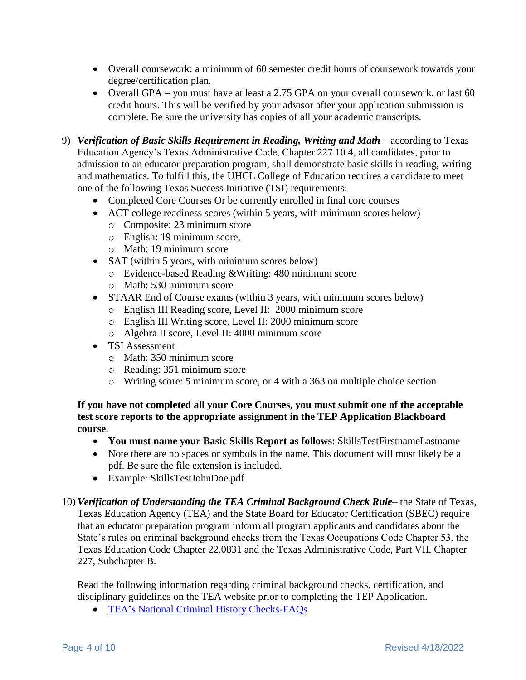- Overall coursework: a minimum of 60 semester credit hours of coursework towards your degree/certification plan.
- Overall GPA you must have at least a 2.75 GPA on your overall coursework, or last 60 credit hours. This will be verified by your advisor after your application submission is complete. Be sure the university has copies of all your academic transcripts.
- 9) *Verification of Basic Skills Requirement in Reading, Writing and Math* according to Texas Education Agency's Texas Administrative Code, Chapter 227.10.4, all candidates, prior to admission to an educator preparation program, shall demonstrate basic skills in reading, writing and mathematics. To fulfill this, the UHCL College of Education requires a candidate to meet one of the following Texas Success Initiative (TSI) requirements:
	- Completed Core Courses Or be currently enrolled in final core courses
	- ACT college readiness scores (within 5 years, with minimum scores below)
		- o Composite: 23 minimum score
		- o English: 19 minimum score,
		- o Math: 19 minimum score
	- SAT (within 5 years, with minimum scores below)
		- o Evidence-based Reading &Writing: 480 minimum score
		- o Math: 530 minimum score
	- STAAR End of Course exams (within 3 years, with minimum scores below)
		- o English III Reading score, Level II: 2000 minimum score
		- o English III Writing score, Level II: 2000 minimum score
		- o Algebra II score, Level II: 4000 minimum score
	- TSI Assessment
		- o Math: 350 minimum score
		- o Reading: 351 minimum score
		- o Writing score: 5 minimum score, or 4 with a 363 on multiple choice section

**If you have not completed all your Core Courses, you must submit one of the acceptable test score reports to the appropriate assignment in the TEP Application Blackboard course**.

- **You must name your Basic Skills Report as follows**: SkillsTestFirstnameLastname
- Note there are no spaces or symbols in the name. This document will most likely be a pdf. Be sure the file extension is included.
- Example: SkillsTestJohnDoe.pdf
- 10) *Verification of Understanding the TEA Criminal Background Check Rule* the State of Texas, Texas Education Agency (TEA) and the State Board for Educator Certification (SBEC) require that an educator preparation program inform all program applicants and candidates about the State's rules on criminal background checks from the Texas Occupations Code Chapter 53, the Texas Education Code Chapter 22.0831 and the Texas Administrative Code, Part VII, Chapter 227, Subchapter B.

Read the following information regarding criminal background checks, certification, and disciplinary guidelines on the TEA website prior to completing the TEP Application.

• [TEA's National Criminal History Checks-FAQs](http://tea.texas.gov/Texas_Educators/Investigations/National_Criminal_History_Checks-FAQs/)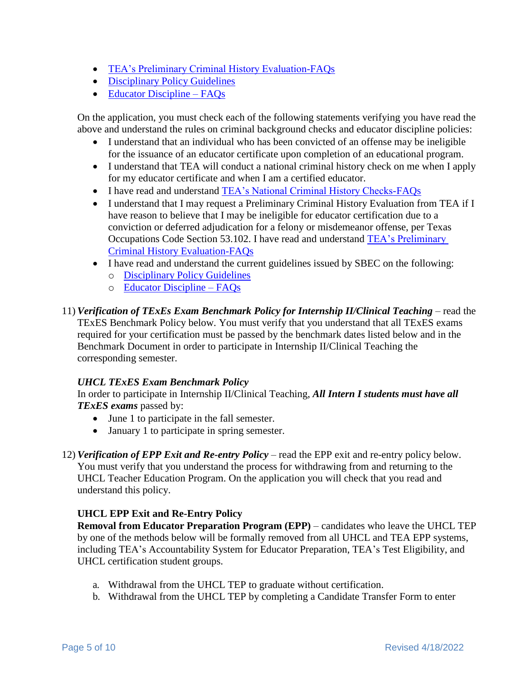- [TEA's Preliminary Criminal History Evaluation-FAQs](https://tea.texas.gov/texas-educators/investigations/preliminary-criminal-history-evaluation-faqs)
- [Disciplinary Policy Guidelines](https://tea.texas.gov/texas-educators/investigations/disciplinary-rules-and-guidelines)
- [Educator Discipline –](https://tea.texas.gov/texas-educators/investigations/disciplinary-actions-taken-against-texas-educators) FAQs

On the application, you must check each of the following statements verifying you have read the above and understand the rules on criminal background checks and educator discipline policies:

- I understand that an individual who has been convicted of an offense may be ineligible for the issuance of an educator certificate upon completion of an educational program.
- I understand that TEA will conduct a national criminal history check on me when I apply for my educator certificate and when I am a certified educator.
- I have read and understand [TEA's National Criminal History Checks-FAQs](http://tea.texas.gov/Texas_Educators/Investigations/National_Criminal_History_Checks-FAQs/)
- I understand that I may request a Preliminary Criminal History Evaluation from TEA if I have reason to believe that I may be ineligible for educator certification due to a conviction or deferred adjudication for a felony or misdemeanor offense, per Texas Occupations Code Section 53.102. I have read and understand [TEA's Preliminary](https://tea.texas.gov/texas-educators/investigations/preliminary-criminal-history-evaluation-faqs)  [Criminal History Evaluation-FAQs](https://tea.texas.gov/texas-educators/investigations/preliminary-criminal-history-evaluation-faqs)
- I have read and understand the current guidelines issued by SBEC on the following:
	- o [Disciplinary Policy Guidelines](https://tea.texas.gov/texas-educators/investigations/disciplinary-rules-and-guidelines)
	- o [Educator Discipline –](https://tea.texas.gov/texas-educators/investigations/disciplinary-actions-taken-against-texas-educators) FAQs

11) *Verification of TExEs Exam Benchmark Policy for Internship II/Clinical Teaching –* read the TExES Benchmark Policy below. You must verify that you understand that all TExES exams required for your certification must be passed by the benchmark dates listed below and in the Benchmark Document in order to participate in Internship II/Clinical Teaching the corresponding semester.

#### *UHCL TExES Exam Benchmark Policy*

In order to participate in Internship II/Clinical Teaching, *All Intern I students must have all TExES exams* passed by:

- June 1 to participate in the fall semester.
- January 1 to participate in spring semester.
- 12) *Verification of EPP Exit and Re-entry Policy* read the EPP exit and re-entry policy below. You must verify that you understand the process for withdrawing from and returning to the UHCL Teacher Education Program. On the application you will check that you read and understand this policy.

## **UHCL EPP Exit and Re-Entry Policy**

**Removal from Educator Preparation Program (EPP)** – candidates who leave the UHCL TEP by one of the methods below will be formally removed from all UHCL and TEA EPP systems, including TEA's Accountability System for Educator Preparation, TEA's Test Eligibility, and UHCL certification student groups.

- a. Withdrawal from the UHCL TEP to graduate without certification.
- b. Withdrawal from the UHCL TEP by completing a Candidate Transfer Form to enter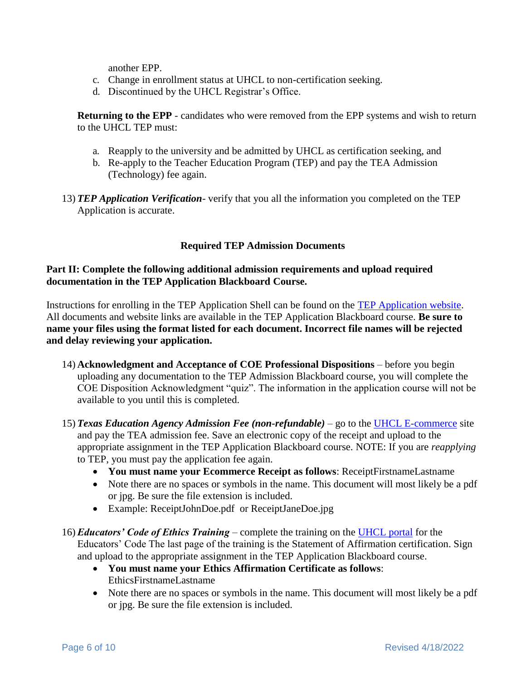another EPP.

- c. Change in enrollment status at UHCL to non-certification seeking.
- d. Discontinued by the UHCL Registrar's Office.

**Returning to the EPP** - candidates who were removed from the EPP systems and wish to return to the UHCL TEP must:

- a. Reapply to the university and be admitted by UHCL as certification seeking, and
- b. Re-apply to the Teacher Education Program (TEP) and pay the TEA Admission (Technology) fee again.
- 13) *TEP Application Verification* verify that you all the information you completed on the TEP Application is accurate.

## **Required TEP Admission Documents**

### **Part II: Complete the following additional admission requirements and upload required documentation in the TEP Application Blackboard Course.**

Instructions for enrolling in the TEP Application Shell can be found on the [TEP Application website.](https://www.uhcl.edu/education/certification/certification-requirements/teacher-education-program-application) All documents and website links are available in the TEP Application Blackboard course. **Be sure to name your files using the format listed for each document. Incorrect file names will be rejected and delay reviewing your application.**

- 14) **Acknowledgment and Acceptance of COE Professional Dispositions** before you begin uploading any documentation to the TEP Admission Blackboard course, you will complete the COE Disposition Acknowledgment "quiz". The information in the application course will not be available to you until this is completed.
- 15) *Texas Education Agency Admission Fee (non-refundable)* go to the [UHCL E-commerce](https://apps.uhcl.edu/ECommerce/Schedule/Search?query=tep) site and pay the TEA admission fee. Save an electronic copy of the receipt and upload to the appropriate assignment in the TEP Application Blackboard course. NOTE: If you are *reapplying* to TEP, you must pay the application fee again.
	- **You must name your Ecommerce Receipt as follows**: ReceiptFirstnameLastname
	- Note there are no spaces or symbols in the name. This document will most likely be a pdf or jpg. Be sure the file extension is included.
	- Example: ReceiptJohnDoe.pdf or ReceiptJaneDoe.jpg
- 16) *Educators' Code of Ethics Training* complete the training on the [UHCL portal](https://apps.uhcl.edu/TEAEthicsTraining/) for the Educators' Code The last page of the training is the Statement of Affirmation certification. Sign and upload to the appropriate assignment in the TEP Application Blackboard course.
	- **You must name your Ethics Affirmation Certificate as follows**: EthicsFirstnameLastname
	- Note there are no spaces or symbols in the name. This document will most likely be a pdf or jpg. Be sure the file extension is included.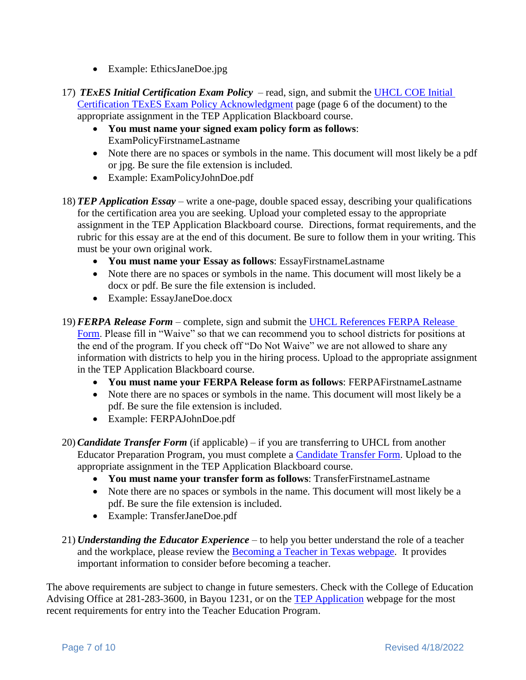- Example: EthicsJaneDoe.jpg
- 17) *TExES Initial Certification Exam Policy* read, sign, and submit the UHCL [COE Initial](https://www.uhcl.edu/education/certification/state-assessments/documents/intitial-certification-texes-exam-policy.pdf)  [Certification TExES Exam Policy](https://www.uhcl.edu/education/certification/state-assessments/documents/intitial-certification-texes-exam-policy.pdf) Acknowledgment page (page 6 of the document) to the appropriate assignment in the TEP Application Blackboard course.
	- **You must name your signed exam policy form as follows**: ExamPolicyFirstnameLastname
	- Note there are no spaces or symbols in the name. This document will most likely be a pdf or jpg. Be sure the file extension is included.
	- Example: ExamPolicyJohnDoe.pdf
- 18) *TEP Application Essay* write a one-page, double spaced essay, describing your qualifications for the certification area you are seeking. Upload your completed essay to the appropriate assignment in the TEP Application Blackboard course. Directions, format requirements, and the rubric for this essay are at the end of this document. Be sure to follow them in your writing. This must be your own original work.
	- **You must name your Essay as follows**: EssayFirstnameLastname
	- Note there are no spaces or symbols in the name. This document will most likely be a docx or pdf. Be sure the file extension is included.
	- Example: EssayJaneDoe.docx
- 19) *FERPA Release Form* complete, sign and submit the [UHCL References FERPA Release](https://www.uhcl.edu/education/student-resources/documents/coe-references-ferpa-release-form.pdf)  [Form.](https://www.uhcl.edu/education/student-resources/documents/coe-references-ferpa-release-form.pdf) Please fill in "Waive" so that we can recommend you to school districts for positions at the end of the program. If you check off "Do Not Waive" we are not allowed to share any information with districts to help you in the hiring process. Upload to the appropriate assignment in the TEP Application Blackboard course.
	- **You must name your FERPA Release form as follows**: FERPAFirstnameLastname
	- Note there are no spaces or symbols in the name. This document will most likely be a pdf. Be sure the file extension is included.
	- Example: FERPAJohnDoe.pdf
- 20) *Candidate Transfer Form* (if applicable) if you are transferring to UHCL from another Educator Preparation Program, you must complete a [Candidate Transfer Form.](https://www.uhcl.edu/education/student-resources/documents/tea-candidate-transfer-form.docx) Upload to the appropriate assignment in the TEP Application Blackboard course.
	- **You must name your transfer form as follows**: TransferFirstnameLastname
	- Note there are no spaces or symbols in the name. This document will most likely be a pdf. Be sure the file extension is included.
	- Example: TransferJaneDoe.pdf
- 21) *Understanding the Educator Experience* to help you better understand the role of a teacher and the workplace, please review the [Becoming a Teacher in Texas webpage.](https://www.uhcl.edu/education/certification/becoming-a-teacher-in-texas) It provides important information to consider before becoming a teacher.

The above requirements are subject to change in future semesters. Check with the College of Education Advising Office at 281-283-3600, in Bayou 1231, or on the [TEP Application](https://www.uhcl.edu/education/certification/certification-requirements/teacher-education-program-application) webpage for the most recent requirements for entry into the Teacher Education Program.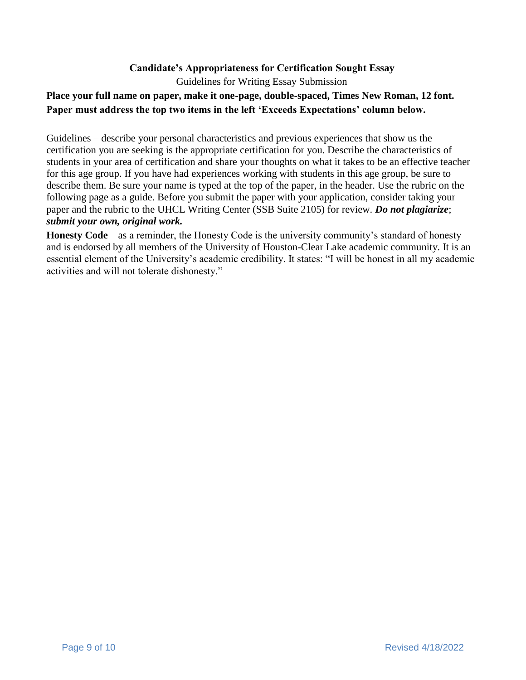## **Candidate's Appropriateness for Certification Sought Essay**

Guidelines for Writing Essay Submission

## **Place your full name on paper, make it one-page, double-spaced, Times New Roman, 12 font. Paper must address the top two items in the left 'Exceeds Expectations' column below.**

Guidelines – describe your personal characteristics and previous experiences that show us the certification you are seeking is the appropriate certification for you. Describe the characteristics of students in your area of certification and share your thoughts on what it takes to be an effective teacher for this age group. If you have had experiences working with students in this age group, be sure to describe them. Be sure your name is typed at the top of the paper, in the header. Use the rubric on the following page as a guide. Before you submit the paper with your application, consider taking your paper and the rubric to the UHCL Writing Center (SSB Suite 2105) for review. *Do not plagiarize*; *submit your own, original work.*

**Honesty Code** – as a reminder, the Honesty Code is the university community's standard of honesty and is endorsed by all members of the University of Houston-Clear Lake academic community. It is an essential element of the University's academic credibility. It states: "I will be honest in all my academic activities and will not tolerate dishonesty."